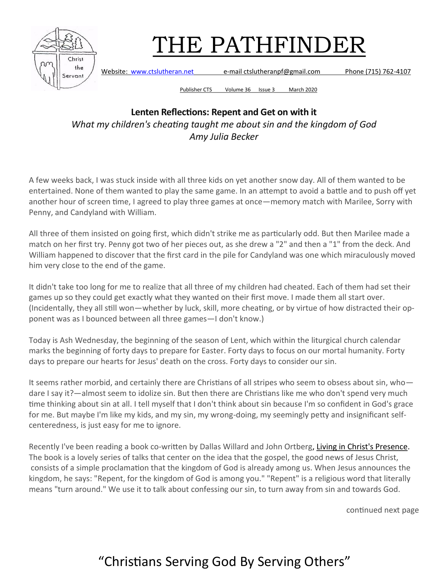

Website: [www.ctslutheran.net](http://www.ctslutheran.net/) e-mail ctslutheranpf@gmail.com Phone (715) 762-4107

Publisher CTS Volume 36 Issue 3 March 2020

#### **Lenten Reflections: Repent and Get on with it** *What my children's cheating taught me about sin and the kingdom of God Amy Julia Becker*

A few weeks back, I was stuck inside with all three kids on yet another snow day. All of them wanted to be entertained. None of them wanted to play the same game. In an attempt to avoid a battle and to push off yet another hour of screen time, I agreed to play three games at once—memory match with Marilee, Sorry with Penny, and Candyland with William.

All three of them insisted on going first, which didn't strike me as particularly odd. But then Marilee made a match on her first try. Penny got two of her pieces out, as she drew a "2" and then a "1" from the deck. And William happened to discover that the first card in the pile for Candyland was one which miraculously moved him very close to the end of the game.

It didn't take too long for me to realize that all three of my children had cheated. Each of them had set their games up so they could get exactly what they wanted on their first move. I made them all start over. (Incidentally, they all still won—whether by luck, skill, more cheating, or by virtue of how distracted their opponent was as I bounced between all three games—I don't know.)

Today is Ash Wednesday, the beginning of the season of Lent, which within the liturgical church calendar marks the beginning of forty days to prepare for Easter. Forty days to focus on our mortal humanity. Forty days to prepare our hearts for Jesus' death on the cross. Forty days to consider our sin.

It seems rather morbid, and certainly there are Christians of all stripes who seem to obsess about sin, who dare I say it?—almost seem to idolize sin. But then there are Christians like me who don't spend very much time thinking about sin at all. I tell myself that I don't think about sin because I'm so confident in God's grace for me. But maybe I'm like my kids, and my sin, my wrong-doing, my seemingly petty and insignificant selfcenteredness, is just easy for me to ignore.

Recently I've been reading a book co-written by Dallas Willard and John Ortberg, [Living in Christ's Presence.](http://www.amazon.com/Living-Christs-Presence-Heaven-Kingdom/dp/0830835849/ref=sr_1_1?s=books&ie=UTF8&qid=1393970351&sr=1-1&keywords=ortberg+willard)  The book is a lovely series of talks that center on the idea that the gospel, the good news of Jesus Christ, consists of a simple proclamation that the kingdom of God is already among us. When Jesus announces the kingdom, he says: "Repent, for the kingdom of God is among you." "Repent" is a religious word that literally means "turn around." We use it to talk about confessing our sin, to turn away from sin and towards God.

continued next page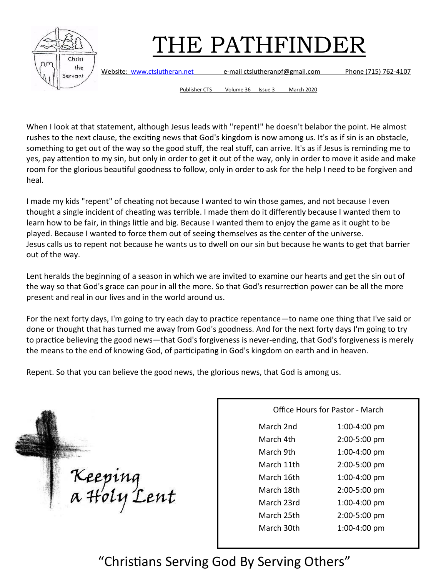

Website: [www.ctslutheran.net](http://www.ctslutheran.net/) e-mail ctslutheranpf@gmail.com Phone (715) 762-4107

Publisher CTS Volume 36 Issue 3 March 2020

When I look at that statement, although Jesus leads with "repent!" he doesn't belabor the point. He almost rushes to the next clause, the exciting news that God's kingdom is now among us. It's as if sin is an obstacle, something to get out of the way so the good stuff, the real stuff, can arrive. It's as if Jesus is reminding me to yes, pay attention to my sin, but only in order to get it out of the way, only in order to move it aside and make room for the glorious beautiful goodness to follow, only in order to ask for the help I need to be forgiven and heal.

I made my kids "repent" of cheating not because I wanted to win those games, and not because I even thought a single incident of cheating was terrible. I made them do it differently because I wanted them to learn how to be fair, in things little and big. Because I wanted them to enjoy the game as it ought to be played. Because I wanted to force them out of seeing themselves as the center of the universe. Jesus calls us to repent not because he wants us to dwell on our sin but because he wants to get that barrier out of the way.

Lent heralds the beginning of a season in which we are invited to examine our hearts and get the sin out of the way so that God's grace can pour in all the more. So that God's resurrection power can be all the more present and real in our lives and in the world around us.

For the next forty days, I'm going to try each day to practice repentance—to name one thing that I've said or done or thought that has turned me away from God's goodness. And for the next forty days I'm going to try to practice believing the good news—that God's forgiveness is never-ending, that God's forgiveness is merely the means to the end of knowing God, of participating in God's kingdom on earth and in heaven.

Repent. So that you can believe the good news, the glorious news, that God is among us.

Keeping<br>a Holy Lent

| Office Hours for Pastor - March |              |  |
|---------------------------------|--------------|--|
| March 2nd                       | 1:00-4:00 pm |  |
| March 4th                       | 2:00-5:00 pm |  |
| March 9th                       | 1:00-4:00 pm |  |
| March 11th                      | 2:00-5:00 pm |  |
| March 16th                      | 1:00-4:00 pm |  |
| March 18th                      | 2:00-5:00 pm |  |
| March 23rd                      | 1:00-4:00 pm |  |
| March 25th                      | 2:00-5:00 pm |  |
| March 30th                      | 1:00-4:00 pm |  |
|                                 |              |  |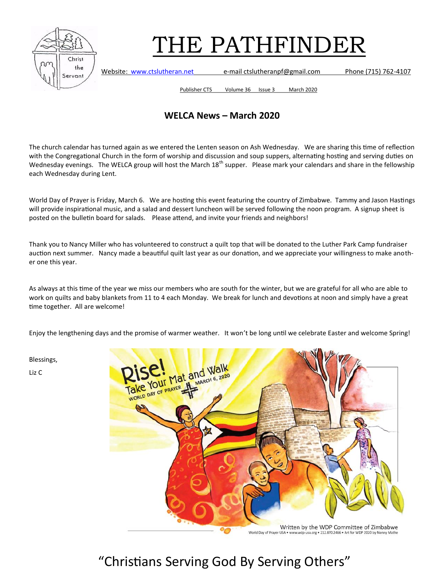

Website: [www.ctslutheran.net](http://www.ctslutheran.net/) e-mail ctslutheranpf@gmail.com Phone (715) 762-4107

Publisher CTS Volume 36 Issue 3 March 2020

#### **WELCA News – March 2020**

The church calendar has turned again as we entered the Lenten season on Ash Wednesday. We are sharing this time of reflection with the Congregational Church in the form of worship and discussion and soup suppers, alternating hosting and serving duties on Wednesday evenings. The WELCA group will host the March  $18<sup>th</sup>$  supper. Please mark your calendars and share in the fellowship each Wednesday during Lent.

World Day of Prayer is Friday, March 6. We are hosting this event featuring the country of Zimbabwe. Tammy and Jason Hastings will provide inspirational music, and a salad and dessert luncheon will be served following the noon program. A signup sheet is posted on the bulletin board for salads. Please attend, and invite your friends and neighbors!

Thank you to Nancy Miller who has volunteered to construct a quilt top that will be donated to the Luther Park Camp fundraiser auction next summer. Nancy made a beautiful quilt last year as our donation, and we appreciate your willingness to make another one this year.

As always at this time of the year we miss our members who are south for the winter, but we are grateful for all who are able to work on quilts and baby blankets from 11 to 4 each Monday. We break for lunch and devotions at noon and simply have a great time together. All are welcome!

Enjoy the lengthening days and the promise of warmer weather. It won't be long until we celebrate Easter and welcome Spring!

Blessings,

Liz C

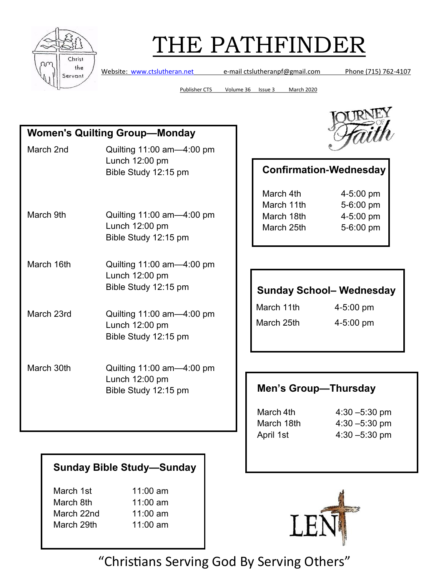

Website: [www.ctslutheran.net](http://www.ctslutheran.net/) e-mail ctslutheranpf@gmail.com Phone (715) 762-4107

Publisher CTS Volume 36 Issue 3 March 2020

| <b>Women's Quilting Group-Monday</b> |                                                                          |  |  |  |
|--------------------------------------|--------------------------------------------------------------------------|--|--|--|
| March 2nd                            | Quilting 11:00 am-4:00 pm<br>Lunch 12:00 pm<br>Bible Study 12:15 pm      |  |  |  |
| March 9th                            | Quilting $11:00$ am $-4:00$ pm<br>Lunch 12:00 pm<br>Bible Study 12:15 pm |  |  |  |
| March 16th                           | Quilting 11:00 am-4:00 pm<br>Lunch 12:00 pm<br>Bible Study 12:15 pm      |  |  |  |
| March 23rd                           | Quilting 11:00 am-4:00 pm<br>Lunch 12:00 pm<br>Bible Study 12:15 pm      |  |  |  |
| March 30th                           | Quilting 11:00 am-4:00 pm<br>Lunch 12:00 pm<br>Bible Study 12:15 pm      |  |  |  |

#### **Sunday Bible Study—Sunday**

| March 1st  | 11:00 am   |
|------------|------------|
| March 8th  | $11:00$ am |
| March 22nd | 11:00 am   |
| March 29th | 11:00 am   |



### **Confirmation-Wednesday**

| March 4th  | $4 - 5:00$ pm |
|------------|---------------|
| March 11th | 5-6:00 pm     |
| March 18th | 4-5:00 pm     |
| March 25th | 5-6:00 pm     |
|            |               |

#### **Sunday School– Wednesday**

March 11th 4-5:00 pm

March 25th 4-5:00 pm

#### **Men's Group-Thursday**

March 4th 4:30 – 5:30 pm March 18th 4:30 –5:30 pm April 1st 4:30 –5:30 pm

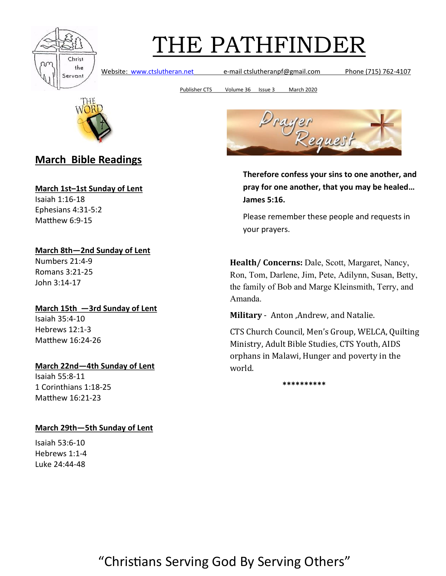

Website: [www.ctslutheran.net](http://www.ctslutheran.net/) e-mail ctslutheranpf@gmail.com Phone (715) 762-4107

Publisher CTS Volume 36 Issue 3 March 2020



#### **March Bible Readings**

**March 1st–1st Sunday of Lent**

Isaiah 1:16-18 Ephesians 4:31-5:2 Matthew 6:9-15

**March 8th—2nd Sunday of Lent** Numbers 21:4-9 Romans 3:21-25 John 3:14-17

#### **March 15th —3rd Sunday of Lent**

Isaiah 35:4-10 Hebrews 12:1-3 Matthew 16:24-26

#### **March 22nd—4th Sunday of Lent**

Isaiah 55:8-11 1 Corinthians 1:18-25 Matthew 16:21-23

#### **March 29th—5th Sunday of Lent**

Isaiah 53:6-10 Hebrews 1:1-4 Luke 24:44-48



**Therefore confess your sins to one another, and pray for one another, that you may be healed… James 5:16.**

Please remember these people and requests in your prayers.

**Health/ Concerns:** Dale, Scott, Margaret, Nancy, Ron, Tom, Darlene, Jim, Pete, Adilynn, Susan, Betty, the family of Bob and Marge Kleinsmith, Terry, and Amanda.

**Military** - Anton ,Andrew, and Natalie.

CTS Church Council, Men's Group, WELCA, Quilting Ministry, Adult Bible Studies, CTS Youth, AIDS orphans in Malawi, Hunger and poverty in the world.

**\*\*\*\*\*\*\*\*\*\***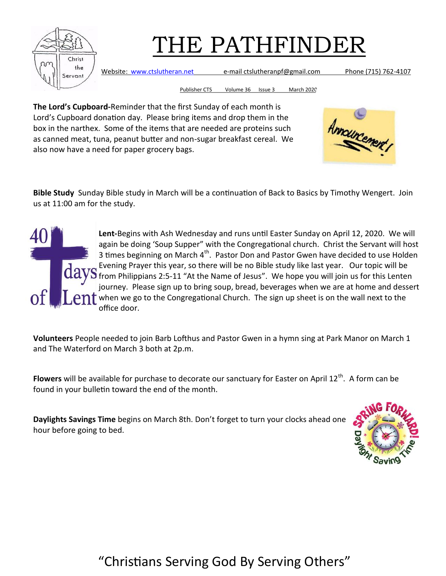

Website: [www.ctslutheran.net](http://www.ctslutheran.net/) e-mail ctslutheranpf@gmail.com Phone (715) 762-4107

Publisher CTS Volume 36 Issue 3 March 2020

**The Lord's Cupboard-**Reminder that the first Sunday of each month is Lord's Cupboard donation day. Please bring items and drop them in the box in the narthex. Some of the items that are needed are proteins such as canned meat, tuna, peanut butter and non-sugar breakfast cereal. We also now have a need for paper grocery bags.



**Bible Study** Sunday Bible study in March will be a continuation of Back to Basics by Timothy Wengert. Join us at 11:00 am for the study.

**Lent-**Begins with Ash Wednesday and runs until Easter Sunday on April 12, 2020. We will again be doing 'Soup Supper" with the Congregational church. Christ the Servant will host 3 times beginning on March  $4<sup>th</sup>$ . Pastor Don and Pastor Gwen have decided to use Holden Evening Prayer this year, so there will be no Bible study like last year. Our topic will be  $\mathbf S$  from Philippians 2:5-11 "At the Name of Jesus". We hope you will join us for this Lenten journey. Please sign up to bring soup, bread, beverages when we are at home and dessert when we go to the Congregational Church. The sign up sheet is on the wall next to the office door.

**Volunteers** People needed to join Barb Lofthus and Pastor Gwen in a hymn sing at Park Manor on March 1 and The Waterford on March 3 both at 2p.m.

Flowers will be available for purchase to decorate our sanctuary for Easter on April 12<sup>th</sup>. A form can be found in your bulletin toward the end of the month.

**Daylights Savings Time** begins on March 8th. Don't forget to turn your clocks ahead one hour before going to bed.

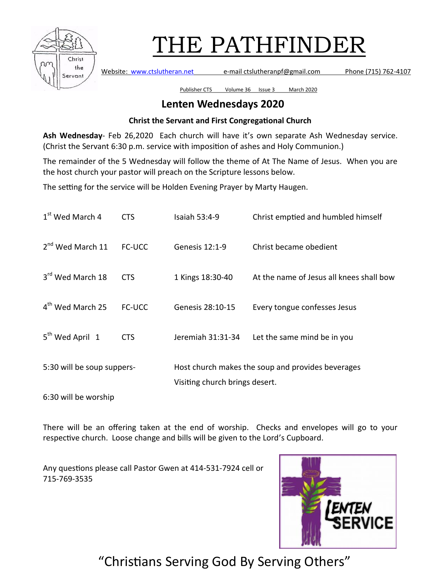

Website: [www.ctslutheran.net](http://www.ctslutheran.net/) e-mail ctslutheranpf@gmail.com Phone (715) 762-4107

Publisher CTS Volume 36 Issue 3 March 2020

#### **Lenten Wednesdays 2020**

#### **Christ the Servant and First Congregational Church**

**Ash Wednesday**- Feb 26,2020 Each church will have it's own separate Ash Wednesday service. (Christ the Servant 6:30 p.m. service with imposition of ashes and Holy Communion.)

The remainder of the 5 Wednesday will follow the theme of At The Name of Jesus. When you are the host church your pastor will preach on the Scripture lessons below.

The setting for the service will be Holden Evening Prayer by Marty Haugen.

| 1 <sup>st</sup> Wed March 4  | <b>CTS</b>    | Isaiah 53:4-9                                                                       | Christ emptied and humbled himself       |  |
|------------------------------|---------------|-------------------------------------------------------------------------------------|------------------------------------------|--|
| 2 <sup>nd</sup> Wed March 11 | <b>FC-UCC</b> | Genesis 12:1-9                                                                      | Christ became obedient                   |  |
| 3 <sup>rd</sup> Wed March 18 | <b>CTS</b>    | 1 Kings 18:30-40                                                                    | At the name of Jesus all knees shall bow |  |
| 4 <sup>th</sup> Wed March 25 | <b>FC-UCC</b> | Genesis 28:10-15                                                                    | Every tongue confesses Jesus             |  |
| 5 <sup>th</sup> Wed April 1  | <b>CTS</b>    | Jeremiah 31:31-34                                                                   | Let the same mind be in you              |  |
| 5:30 will be soup suppers-   |               | Host church makes the soup and provides beverages<br>Visiting church brings desert. |                                          |  |
|                              |               |                                                                                     |                                          |  |

6:30 will be worship

There will be an offering taken at the end of worship. Checks and envelopes will go to your respective church. Loose change and bills will be given to the Lord's Cupboard.

Any questions please call Pastor Gwen at 414-531-7924 cell or 715-769-3535